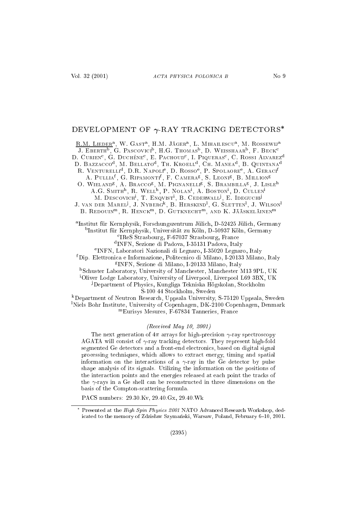# DEVELOPMENT OF  $\gamma$ -RAY TRACKING DETECTORS\*

R.M. LIEDER<sup>a</sup>, W. GAST<sup>a</sup>, H.M. JÄGER<sup>a</sup>, L. MIHAILESCU<sup>a</sup>, M. ROSSEWIJ<sup>a</sup> J. EBERTH<sup>b</sup>, G. PASCOVICI<sup>b</sup>, H.G. THOMAS<sup>b</sup>, D. WEISSHAAR<sup>b</sup>, F. BECK<sup>c</sup> D. CURIEN<sup>c</sup>, G. DUCHÊNE<sup>c</sup>, E. PACHOUD<sup>c</sup>, I. PIQUERAS<sup>c</sup>, C. ROSSI ALVAREZ<sup>d</sup> D. BAZZACCO<sup>d</sup>, M. BELLATO<sup>d</sup>, TH. KROELL<sup>d</sup>, CH. MANEA<sup>d</sup>, B. QUINTANA<sup>d</sup> R. VENTURELLI<sup>d</sup>, D.R. NAPOLI<sup>e</sup>, D. ROSSO<sup>e</sup>, P. SPOLAORE<sup>e</sup>, A. GERACI<sup>f</sup> A. PULLIA<sup>f</sup>, G. RIPAMONTI<sup>f</sup>, F. CAMERA<sup>g</sup>, S. LEONI<sup>g</sup>, B. MILLION<sup>g</sup> O. WIELAND<sup>8</sup>, A. BRACCO<sup>8</sup>, M. PIGNANELLI<sup>8</sup>, S. BRAMBILLA<sup>8</sup>, J. LISLE<sup>h</sup> A.G. SMITH<sup>h</sup>, R. Well<sup>h</sup>, P. Nolan<sup>i</sup>, A. Boston<sup>i</sup>, D. Cullen<sup>i</sup> M. DESCOVICH<sup>i</sup>, T. ENQVIST<sup>i</sup>, B. CEDERWALL<sup>j</sup>, E. IDEGUCHI<sup>j</sup> J. VAN DER MAREL<sup>J</sup>, J. NYBERG<sup>k</sup>, B. HERSKIND<sup>1</sup>, G. SLETTEN<sup>1</sup>, J. WILSON<sup>1</sup> B. REDOUIN<sup>m</sup>, R. HENCK<sup>m</sup>, D. GUTKNECHT<sup>m</sup>, AND K. JÄÄSKELÄINEN<sup>m</sup> <sup>a</sup>Institut für Kernphysik, Forschungszentrum Jülich, D-52425 Jülich, Germany <sup>b</sup>Institut für Kernphysik, Universität zu Köln, D-50937 Köln, Germany <sup>c</sup>IReS Strasbourg, F-67037 Strasbourg, France <sup>d</sup>INFN, Sezione di Padova, I-35131 Padova, Italy <sup>e</sup>INFN, Laboratori Nazionali di Legnaro, I-35020 Legnaro, Italy <sup>f</sup>Dip. Elettronica e Informazione, Politecnico di Milano, I-20133 Milano, Italy <sup>8</sup> INFN, Sezione di Milano, I-20133 Milano, Italy <sup>h</sup>Schuster Laboratory, University of Manchester, Manchester M13 9PL, UK <sup>i</sup>Oliver Lodge Laboratory, University of Liverpool, Liverpool L69 3BX, UK <sup>j</sup>Department of Physics, Kungliga Tekniska Högskolan, Stockholm S-100 44 Stockholm, Sweden <sup>k</sup>Department of Neutron Research, Uppsala University, S-75120 Uppsala, Sweden

<sup>1</sup>Niels Bohr Institute, University of Copenhagen, DK-2100 Copenhagen, Denmark "Eurisys Mesures, F-67834 Tanneries, France

# (Received May 10, 2001)

The next generation of  $4\pi$  arrays for high-precision  $\gamma$ -ray spectroscopy AGATA will consist of  $\gamma$ -ray tracking detectors. They represent high-fold segmented Ge detectors and a front-end electronics, based on digital signal processing techniques, which allows to extract energy, timing and spatial information on the interactions of a  $\gamma$ -ray in the Ge detector by pulse shape analysis of its signals. Utilizing the information on the positions of the interaction points and the energies released at each point the tracks of the  $\gamma$ -rays in a Ge shell can be reconstructed in three dimensions on the basis of the Compton-scattering formula.

PACS numbers: 29.30 Kv, 29.40 Gx, 29.40 Wk

<sup>\*</sup> Presented at the High Spin Physics 2001 NATO Advanced Research Workshop, dedicated to the memory of Zdzisław Szymański, Warsaw, Poland, February 6-10, 2001.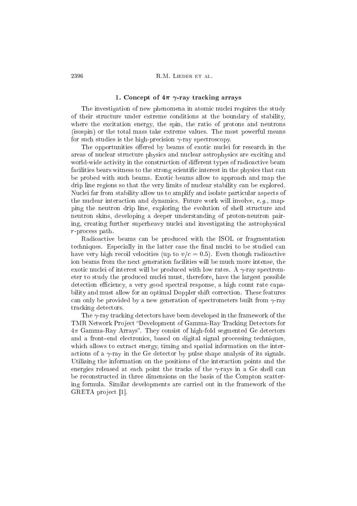### 1. Concept of  $4\pi$   $\gamma$ -ray tracking arrays

The investigation of new phenomena in atomic nuclei requires the study of their stru
ture under extreme onditions at the boundary of stability, where the excitation energy, the spin, the ratio of protons and neutrons (isospin) or the total mass take extreme values. The most powerful means for such studies is the high-precision  $\gamma$ -ray spectroscopy.

The opportunities offered by beams of exotic nuclei for research in the areas of nuclear structure physics and nuclear astrophysics are exciting and world-wide activity in the construction of different types of radioactive beam facilities bears witness to the strong scientific interest in the physics that can be probed with su
h beams. Exoti beams allow to approa
h and map the drip line regions so that the very limits of nuclear stability can be explored. Nuclei far from stability allow us to amplify and isolate particular aspects of the nuclear interaction and dynamics. Future work will involve, e.g., mapping the neutron drip line, exploring the evolution of shell stru
ture and neutron skins, developing a deeper understanding of proton-neutron pairing, creating further superheavy nuclei and investigating the astrophysical r-pro
ess path.

Radioactive beams can be produced with the ISOL or fragmentation techniques. Especially in the latter case the final nuclei to be studied can have very high recoil velocities (up to  $v/c = 0.5$ ). Even though radioactive ion beams from the next generation facilities will be much more intense, the exotic nuclei of interest will be produced with low rates. A  $\gamma$ -ray spectrometer to study the produced nuclei must, therefore, have the largest possible detection efficiency, a very good spectral response, a high count rate capability and must allow for an optimal Doppler shift correction. These features can only be provided by a new generation of spectrometers built from  $\gamma$ -ray tra
king dete
tors.

The  $\gamma$ -ray tracking detectors have been developed in the framework of the TMR Network Project "Development of Gamma-Ray Tracking Detectors for  $4\pi$  Gamma-Ray Arrays". They consist of high-fold segmented Ge detectors and a front–end electronics, based on digital signal processing techniques, which allows to extract energy, timing and spatial information on the interactions of a  $\gamma$ -ray in the Ge detector by pulse shape analysis of its signals. Utilizing the information on the positions of the interaction points and the energies released at each point the tracks of the  $\gamma$ -rays in a Ge shell can be re
onstru
ted in three dimensions on the basis of the Compton s
attering formula. Similar developments are arried out in the framework of the GRETA project [1].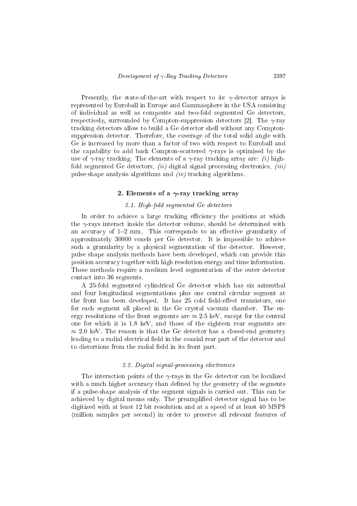respectively, surrounded by Compton-suppression detectors [2]. The  $\gamma$ -ray tra
king dete
tors allow to build a Ge dete
tor shell without any Comptonsuppression detector. Therefore, the coverage of the total solid angle with suppression dete
tor. Therefore, the overage of the total solid angle with Ge is increased by more than a factor of two with respect to Euroball and Ge is in
reased by more than a fa
tor of two with respe
t to Euroball and the capability to add back Compton-scattered  $\gamma$ -rays is optimised by the the apability to add ba
k Compton-s
attered -rays is optimised by the use of  $\gamma$ -ray tracking. The elements of a  $\gamma$ -ray tracking array are: *(i)* highfold segmented Ge detectors,  $(ii)$  digital signal processing electronics,  $(iii)$ pulse-shape analysis algorithms and  $(iv)$  tracking algorithms.

### 2. Elements of a  $\gamma$ -ray tracking array

### 2.1. High-fold segmented Ge dete
tors

In order to achieve a large tracking efficiency the positions at which the  $\gamma$ -rays interact inside the detector volume, should be determined with an an am an an ee tive granularity of the state granularity of the state granularity of the state granularity of the state granularity of the state granularity of the state granularity of the state granularity of the state approximately 3000 voxels per Ge detection and the contract per Ge detection and the contract per Ge detection such a granularity by a physical segmentation of the detector. However, pulse shape analysis methods have been developed, whi
h an provide this position accuracy together with high resolution energy and time information. These methods require a medium level segmentation of the outer dete
tor onta
t into 36 segments.

A 25-fold segmented cylindrical Ge detector which has six azimuthal and four longitudinal segmentations plus one central circular segment at the front has been developed. It has 25 cold field-effect transistors, one for each segment all placed in the Ge crystal vacuum chamber. The energy resolutions of the front segments are  $\approx 2.5$  keV, except for the central one for whi
h it is 1.8 keV, and those of the eighteen rear segments are  $\approx 2.0$  keV. The reason is that the Ge detector has a closed-end geometry leading to a radial electrical field in the coaxial rear part of the detector and to distortions from the radial field in its front part.

### 2.2. Digital signal-pro
essing ele
troni
s

The interaction points of the  $\gamma$ -rays in the Ge detector can be localized with a much higher accuracy than defined by the geometry of the segments if a pulse-shape analysis of the segment signals is arried out. This an be achieved by digital means only. The preamplified detector signal has to be digitized with at least 12 bit resolution and at a speed of at least 40 MSPS (million samples per se
ond) in order to preserve all relevant features of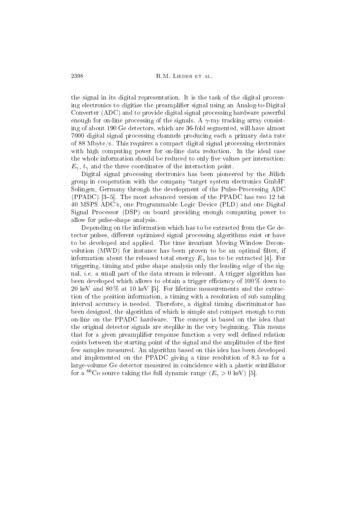the signal in its digital representation. It is the task of the digital pro
essing ele
troni
s to digitize the preamplier signal using an Analog-to-Digital Converter (ADC) and to provide digital signal pro
essing hardware powerful enough for on-line processing of the signals. A  $\gamma$ -ray tracking array consisting of about 190 Ge dete
tors, whi
h are 36-fold segmented, will have almost 7000 digital signal pro
essing hannels produ
ing ea
h a primary data rate of 88 Mbyte/s. This requires a ompa
t digital signal pro
essing ele
troni
s with high computing power for on-line data reduction. In the ideal case with high omputing power for on-line data redu
tion. In the ideal ase the whole information should be reduced to only five values per interaction:  $E_{\gamma}$ ,  $t_{\gamma}$  and the three coordinates of the interaction point.

Digital signal processing electronics has been pioneered by the Jülich group in cooperation with the company "target system electronics GmbH" Solingen, Germany through the development of the Pulse-Pro
essing ADC  $(PPADC)$  [3–5]. The most advanced version of the PPADC has two 12 bit 40 MSPS ADC's, one Programmable Logi Devi
e (PLD) and one Digital Signal Pro
essor (DSP) on board providing enough omputing power to allow for pulse-shape analysis.

Depending on the information which has to be extracted from the Ge detector pulses, different optimized signal processing algorithms exist or have to be developed and applied. The time invariant Moving Window Deconvolution (MWD) for instance has been proven to be an optimal filter, if information about the released total energy  $E_{\gamma}$  has to be extracted [4]. For triggering, timing and pulse shape analysis only the leading edge of the signal, *i.e.* a small part of the data stream is relevant. A trigger algorithm has been developed which allows to obtain a trigger efficiency of 100 % down to 20 keV and 80% at 10 keV [5]. For lifetime measurements and the extraction of the position information, a timing with a resolution of sub sampling interval accuracy is needed. Therefore, a digital timing discriminator has been designed, the algorithm of whi
h is simple and ompa
t enough to run on-line on the PPADC hardware. The on
ept is based on the idea that the original dete
tor signals are steplike in the very beginning. This means that for a given preamplifier response function a very well defined relation exists between the starting point of the signal and the amplitudes of the first few samples measured. An algorithm based on this idea has been developed and implemented on the PPADC giving a time resolution of 8.5 ns for a large-volume Ge detector measured in coincidence with a plastic scintillator for a <sup>60</sup>Co source taking the full dynamic range  $(E_{\gamma} > 0 \text{ keV})$  [5].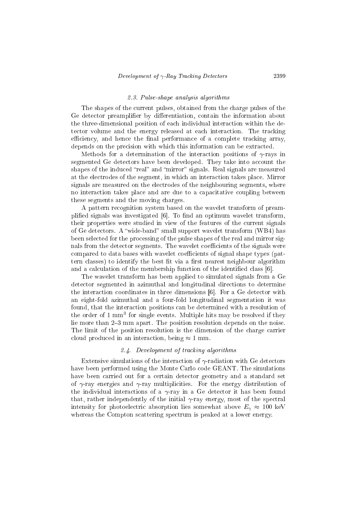#### 2.3. Pulse-shape analysis algorithms Pulse-shape analysis algorithms

The shapes of the current pulses, obtained from the charge pulses of the Ge detector preamplifier by differentiation, contain the information about Ge dete
tor preamplier by dierentiation, ontain the information about the three-dimensional position of each individual interaction within the dethe three-dimensional position of ea
h individual intera
tion within the detector volume and the energy released at each interaction. The tracking efficiency, and hence the final performance of a complete tracking array. e of a set and hence the nature transfer array, and hence the nature transfer array, and hence the nature of a depends on the precision with which this information can be extracted. depends on the pre
ision with whi
h this information an be extra
ted.

Methods for a determination of the interaction positions of  $\gamma$ -rays in  $\mathbf{1}$  and the interaction of the interaction of the interaction of the interactions of the interactions of the interaction segmented Ge detectors have been developed. They take into account the segmented Ge dete
tors have been developed. They take into a

ount the shapes of the induced "real" and "mirror" signals. Real signals are measured shapes of the indu
ed real and mirror signals. Real signals are measured at the electrodes of the segment, in which an interaction takes place. Mirror at the ele
trodes of the segment, in whi
h an intera
tion takes pla
e. Mirror signals are measured on the electrodes of the neighbouring segments, where signals are measured on the ele
trodes of the neighbouring segments, where no interaction takes place and are due to a capacitative coupling between no interaction takes plants are due to a series plants and are due to a series of the due to a series of the d these segments and the moving harges.

A pattern re
ognition system based on the wavelet transform of preamplified signals was investigated [6]. To find an optimum wavelet transform, their properties were studied in view of the features of the urrent signals of Ge detectors. A "wide-band" small support wavelet transform (WB4) has been sele
ted for the pro
essing of the pulse shapes of the real and mirror signals from the detector segments. The wavelet coefficients of the signals were compared to data bases with wavelet coefficients of signal shape types (pattern classes) to identify the best fit via a first nearest neighbour algorithm and a calculation of the membership function of the identified class  $[6]$ .

The wavelet transform has been applied to simulated signals from a Ge dete
tor segmented in azimuthal and longitudinal dire
tions to determine the interaction coordinates in three dimensions  $[6]$ . For a Ge detector with an eight-fold azimuthal and a four-fold longitudinal segmentation it was found, that the intera
tion positions an be determined with a resolution of the order of 1 mm stor single events. Multiple hits may be resolved if they lie more than 2–3 mm apart. The position resolution depends on the noise. The limit of the position resolution is the dimension of the harge arrier cloud produced in an interaction, being  $\approx 1$  mm.

### 2.4. Development of tra
king algorithms

Extensive simulations of the interaction of  $\gamma$ -radiation with Ge detectors have been performed using the Monte Carlo code GEANT. The simulations have been carried out for a certain detector geometry and a standard set of  $\gamma$ -ray energies and  $\gamma$ -ray multiplicities. For the energy distribution of the individual interactions of a  $\gamma$ -ray in a Ge detector it has been found that, rather independently of the initial  $\gamma$ -ray energy, most of the spectral intensity for photoelectric absorption lies somewhat above  $E_{\gamma} \approx 100 \text{ keV}$ whereas the Compton scattering spectrum is peaked at a lower energy.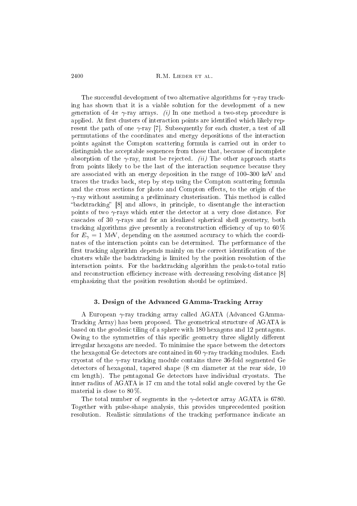The successful development of two alternative algorithms for  $\gamma$ -ray track-The su

essful development of two alternative algorithms for -ray tra
king has shown that it is a viable solution for the development of a new generation of  $4\pi \gamma$ -ray arrays. (i) In one method a two-step procedure is applied. At first clusters of interaction points are identified which likely represent the path of one  $\gamma$ -ray [7]. Subsequently for each cluster, a test of all permutations of the oordinates and energy depositions of the intera
tion points against the Compton s
attering formula is arried out in order to distinguish the acceptable sequences from those that, because of incomplete absorption of the  $\gamma$ -ray, must be rejected. *(ii)* The other approach starts from points likely to be the last of the interaction sequence because they are associated with an energy deposition in the range of 100–300 keV and tra
es the tra
ks ba
k, step by step using the Compton s
attering formula and the cross sections for photo and Compton effects, to the origin of the  $\gamma$ -ray without assuming a preliminary clusterisation. This method is called "backtracking" [8] and allows, in principle, to disentangle the interaction points of two  $\gamma$ -rays which enter the detector at a very close distance. For cascades of 30  $\gamma$ -rays and for an idealized spherical shell geometry, both tracking algorithms give presently a reconstruction efficiency of up to  $60\%$ for  $E_{\gamma} = 1$  MeV, depending on the assumed accuracy to which the coordinates of the intera
tion points an be determined. The performan
e of the first tracking algorithm depends mainly on the correct identification of the clusters while the backtracking is limited by the position resolution of the interaction points. For the backtracking algorithm the peak-to-total ratio and reconstruction efficiency increase with decreasing resolving distance [8] emphasizing that the position resolution should be optimized.

## 3. Design of the Advan
ed GAmma-Tra
king Array

A European  $\gamma$ -ray tracking array called AGATA (Advanced GAmma-Tracking Array) has been proposed. The geometrical structure of AGATA is based on the geodesi tiling of a sphere with 180 hexagons and 12 pentagons. Owing to the symmetries of this specific geometry three slightly different irregular hexagons are needed. To minimise the spa
e between the dete
tors the hexagonal Ge detectors are contained in  $60 \gamma$ -ray tracking modules. Each cryostat of the  $\gamma$ -ray tracking module contains three 36-fold segmented Ge dete
tors of hexagonal, tapered shape (8 m diameter at the rear side, 10 m length). The pentagonal Ge dete
tors have individual ryostats. The inner radius of AGATA is 17 m and the total solid angle overed by the Ge material is close to  $80\%$ .

The total number of segments in the  $\gamma$ -detector array AGATA is 6780. Together with pulse-shape analysis, this provides unpre
edented position resolution. Realistic simulations of the tracking performance indicate an